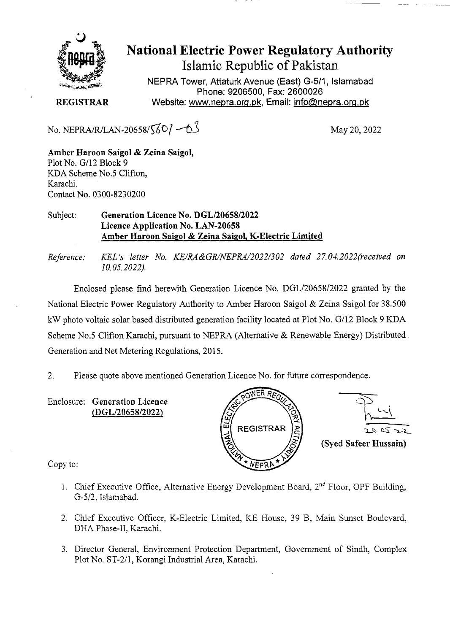

National Electric Power Regulatory Authority Islamic Republic of Pakistan

**NEPRA Tower, Attaturk Avenue (East)** G-511, **Islamabad Phone: 9206500, Fax: 2600026 REGISTRAR** Website: www.nepra.org.pk, Email: info@nepra.org.pk

No. NEPRA/R/LAN-20658/ $\sqrt{60}$  –0<sup>3</sup> May 20, 2022

**Amber Haroon Saigol** & **Zeina Saigol,**  Plot No. G/12 Block 9 KDA Scheme No.5 Clifton, Karachi. Contact No. 0300-8230200

Subject: **Generation Licence No.** *DGL/2065812022*  **Licence Application No. LAN-20658 Amber Haroon Saigol & Zeina SaigoL K-Electric Limited** 

*Reference: KEL 's letter No. KE/RA&GR/NEPRA/2022/302 dated 27.04. 2022('received on 1 0.05.2022).* 

Enclosed please find herewith Generation Licence No. DGL/20658/2022 granted by the National Electric Power Regulatory Authority to Amber Haroon Saigol & Zeina Saigol for 38.500 kW photo voltaic solar based distributed generation facility located at Plot No. G/12 Block 9 KDA Scheme No.5 Clifton Karachi, pursuant to NEPRA (Alternative & Renewable Energy) Distributed. Generation and Net Metering Regulations, 2015.

2. Please quote above mentioned Generation Licence No. for future correspondence.

Enclosure: **Generation Licence**  *(DGL12065812022)* 





Copy to:

- 1. Chief Executive Office, Alternative Energy Development Board,  $2<sup>nd</sup>$  Floor, OPF Building, G-5/2. Islarnabad.
- 2. Chief Executive Officer, K-Electric Limited, KE House, 39 B, Main Sunset Boulevard, DHA Phase-IT, Karachi.
- 3. Director General, Environment Protection Department, Government of Sindh, Complex Plot No. ST-2/1, Korangi Industrial Area, Karachi.